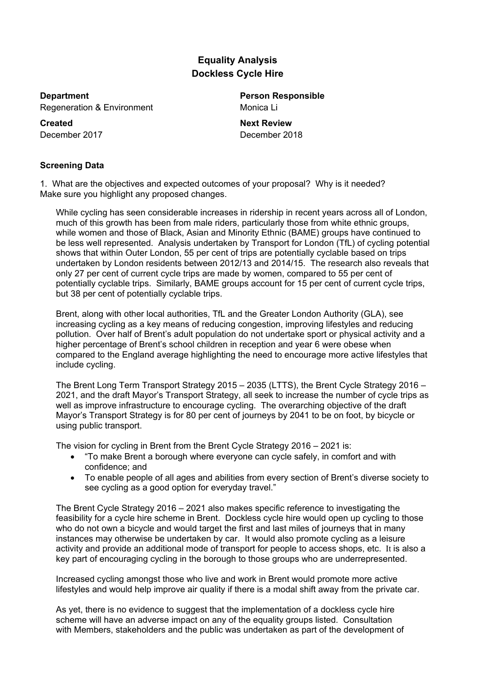# **Equality Analysis Dockless Cycle Hire**

**Department Person Responsible** Regeneration & Environment Monica Li

**Created Next Review**

December 2017 December 2018

# **Screening Data**

1. What are the objectives and expected outcomes of your proposal? Why is it needed? Make sure you highlight any proposed changes.

While cycling has seen considerable increases in ridership in recent years across all of London, much of this growth has been from male riders, particularly those from white ethnic groups, while women and those of Black, Asian and Minority Ethnic (BAME) groups have continued to be less well represented. Analysis undertaken by Transport for London (TfL) of cycling potential shows that within Outer London, 55 per cent of trips are potentially cyclable based on trips undertaken by London residents between 2012/13 and 2014/15. The research also reveals that only 27 per cent of current cycle trips are made by women, compared to 55 per cent of potentially cyclable trips. Similarly, BAME groups account for 15 per cent of current cycle trips, but 38 per cent of potentially cyclable trips.

Brent, along with other local authorities, TfL and the Greater London Authority (GLA), see increasing cycling as a key means of reducing congestion, improving lifestyles and reducing pollution. Over half of Brent's adult population do not undertake sport or physical activity and a higher percentage of Brent's school children in reception and year 6 were obese when compared to the England average highlighting the need to encourage more active lifestyles that include cycling.

The Brent Long Term Transport Strategy 2015 – 2035 (LTTS), the Brent Cycle Strategy 2016 – 2021, and the draft Mayor's Transport Strategy, all seek to increase the number of cycle trips as well as improve infrastructure to encourage cycling. The overarching objective of the draft Mayor's Transport Strategy is for 80 per cent of journeys by 2041 to be on foot, by bicycle or using public transport.

The vision for cycling in Brent from the Brent Cycle Strategy 2016 – 2021 is:

- "To make Brent a borough where everyone can cycle safely, in comfort and with confidence; and
- To enable people of all ages and abilities from every section of Brent's diverse society to see cycling as a good option for everyday travel."

The Brent Cycle Strategy 2016 – 2021 also makes specific reference to investigating the feasibility for a cycle hire scheme in Brent. Dockless cycle hire would open up cycling to those who do not own a bicycle and would target the first and last miles of journeys that in many instances may otherwise be undertaken by car. It would also promote cycling as a leisure activity and provide an additional mode of transport for people to access shops, etc. It is also a key part of encouraging cycling in the borough to those groups who are underrepresented.

Increased cycling amongst those who live and work in Brent would promote more active lifestyles and would help improve air quality if there is a modal shift away from the private car.

As yet, there is no evidence to suggest that the implementation of a dockless cycle hire scheme will have an adverse impact on any of the equality groups listed. Consultation with Members, stakeholders and the public was undertaken as part of the development of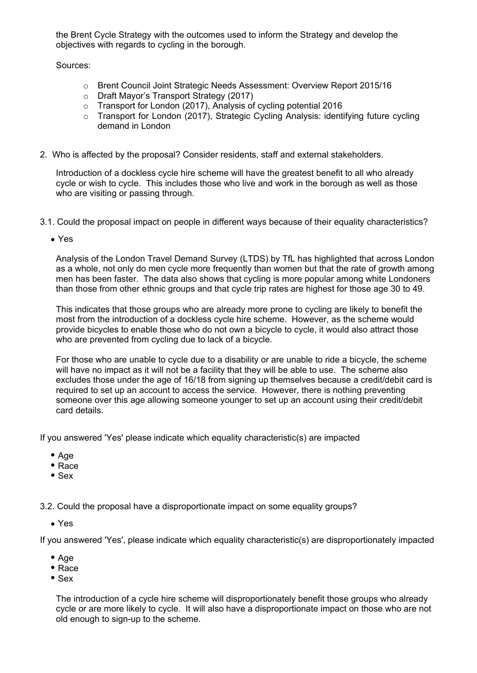the Brent Cycle Strategy with the outcomes used to inform the Strategy and develop the objectives with regards to cycling in the borough.

Sources:

- o Brent Council Joint Strategic Needs Assessment: Overview Report 2015/16
- o Draft Mayor's Transport Strategy (2017)
- o Transport for London (2017), Analysis of cycling potential 2016
- o Transport for London (2017), Strategic Cycling Analysis: identifying future cycling demand in London
- 2. Who is affected by the proposal? Consider residents, staff and external stakeholders.

Introduction of a dockless cycle hire scheme will have the greatest benefit to all who already cycle or wish to cycle. This includes those who live and work in the borough as well as those who are visiting or passing through.

- 3.1. Could the proposal impact on people in different ways because of their equality characteristics?
	- Yes

Analysis of the London Travel Demand Survey (LTDS) by TfL has highlighted that across London as a whole, not only do men cycle more frequently than women but that the rate of growth among men has been faster. The data also shows that cycling is more popular among white Londoners than those from other ethnic groups and that cycle trip rates are highest for those age 30 to 49.

This indicates that those groups who are already more prone to cycling are likely to benefit the most from the introduction of a dockless cycle hire scheme. However, as the scheme would provide bicycles to enable those who do not own a bicycle to cycle, it would also attract those who are prevented from cycling due to lack of a bicycle.

For those who are unable to cycle due to a disability or are unable to ride a bicycle, the scheme will have no impact as it will not be a facility that they will be able to use. The scheme also excludes those under the age of 16/18 from signing up themselves because a credit/debit card is required to set up an account to access the service. However, there is nothing preventing someone over this age allowing someone younger to set up an account using their credit/debit card details.

If you answered 'Yes' please indicate which equality characteristic(s) are impacted

- Age
- Race
- $\bullet$  Sex

3.2. Could the proposal have a disproportionate impact on some equality groups?

Yes

If you answered 'Yes', please indicate which equality characteristic(s) are disproportionately impacted

- $Aqe$
- Race
- $\bullet$  Sex

The introduction of a cycle hire scheme will disproportionately benefit those groups who already cycle or are more likely to cycle. It will also have a disproportionate impact on those who are not old enough to sign-up to the scheme.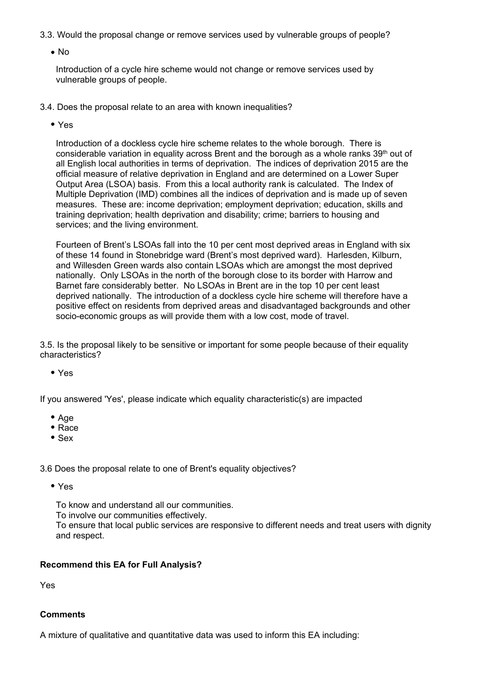- 3.3. Would the proposal change or remove services used by vulnerable groups of people?
	- No

Introduction of a cycle hire scheme would not change or remove services used by vulnerable groups of people.

- 3.4. Does the proposal relate to an area with known inequalities?
	- Yes

Introduction of a dockless cycle hire scheme relates to the whole borough. There is considerable variation in equality across Brent and the borough as a whole ranks 39<sup>th</sup> out of all English local authorities in terms of deprivation. The indices of deprivation 2015 are the official measure of relative deprivation in England and are determined on a Lower Super Output Area (LSOA) basis. From this a local authority rank is calculated. The Index of Multiple Deprivation (IMD) combines all the indices of deprivation and is made up of seven measures. These are: income deprivation; employment deprivation; education, skills and training deprivation; health deprivation and disability; crime; barriers to housing and services; and the living environment.

Fourteen of Brent's LSOAs fall into the 10 per cent most deprived areas in England with six of these 14 found in Stonebridge ward (Brent's most deprived ward). Harlesden, Kilburn, and Willesden Green wards also contain LSOAs which are amongst the most deprived nationally. Only LSOAs in the north of the borough close to its border with Harrow and Barnet fare considerably better. No LSOAs in Brent are in the top 10 per cent least deprived nationally. The introduction of a dockless cycle hire scheme will therefore have a positive effect on residents from deprived areas and disadvantaged backgrounds and other socio-economic groups as will provide them with a low cost, mode of travel.

3.5. Is the proposal likely to be sensitive or important for some people because of their equality characteristics?

Yes

If you answered 'Yes', please indicate which equality characteristic(s) are impacted

- $A$ ae
- Race
- Sex

3.6 Does the proposal relate to one of Brent's equality objectives?

Yes

To know and understand all our communities.

To involve our communities effectively.

To ensure that local public services are responsive to different needs and treat users with dignity and respect.

### **Recommend this EA for Full Analysis?**

Yes

## **Comments**

A mixture of qualitative and quantitative data was used to inform this EA including: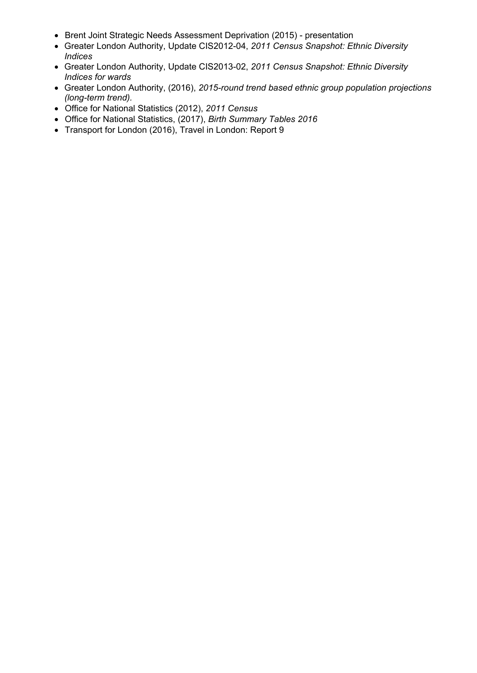- Brent Joint Strategic Needs Assessment Deprivation (2015) presentation
- Greater London Authority, Update CIS2012-04, *2011 Census Snapshot: Ethnic Diversity Indices*
- Greater London Authority, Update CIS2013-02, *2011 Census Snapshot: Ethnic Diversity Indices for wards*
- Greater London Authority, (2016), *2015-round trend based ethnic group population projections (long-term trend).*
- Office for National Statistics (2012), *2011 Census*
- Office for National Statistics, (2017), *Birth Summary Tables 2016*
- Transport for London (2016), Travel in London: Report 9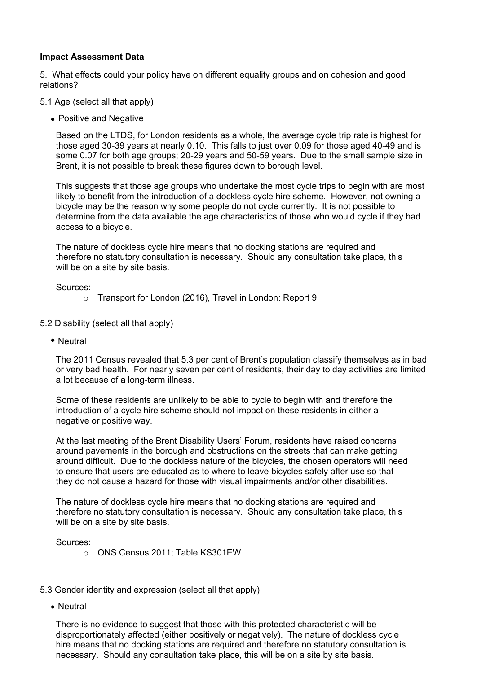#### **Impact Assessment Data**

5. What effects could your policy have on different equality groups and on cohesion and good relations?

- 5.1 Age (select all that apply)
	- Positive and Negative

Based on the LTDS, for London residents as a whole, the average cycle trip rate is highest for those aged 30-39 years at nearly 0.10. This falls to just over 0.09 for those aged 40-49 and is some 0.07 for both age groups; 20-29 years and 50-59 years. Due to the small sample size in Brent, it is not possible to break these figures down to borough level.

This suggests that those age groups who undertake the most cycle trips to begin with are most likely to benefit from the introduction of a dockless cycle hire scheme. However, not owning a bicycle may be the reason why some people do not cycle currently. It is not possible to determine from the data available the age characteristics of those who would cycle if they had access to a bicycle.

The nature of dockless cycle hire means that no docking stations are required and therefore no statutory consultation is necessary. Should any consultation take place, this will be on a site by site basis.

Sources:

- o Transport for London (2016), Travel in London: Report 9
- 5.2 Disability (select all that apply)
	- Neutral

The 2011 Census revealed that 5.3 per cent of Brent's population classify themselves as in bad or very bad health. For nearly seven per cent of residents, their day to day activities are limited a lot because of a long-term illness.

Some of these residents are unlikely to be able to cycle to begin with and therefore the introduction of a cycle hire scheme should not impact on these residents in either a negative or positive way.

At the last meeting of the Brent Disability Users' Forum, residents have raised concerns around pavements in the borough and obstructions on the streets that can make getting around difficult. Due to the dockless nature of the bicycles, the chosen operators will need to ensure that users are educated as to where to leave bicycles safely after use so that they do not cause a hazard for those with visual impairments and/or other disabilities.

The nature of dockless cycle hire means that no docking stations are required and therefore no statutory consultation is necessary. Should any consultation take place, this will be on a site by site basis.

Sources:

- o ONS Census 2011; Table KS301EW
- 5.3 Gender identity and expression (select all that apply)
	- Neutral

There is no evidence to suggest that those with this protected characteristic will be disproportionately affected (either positively or negatively). The nature of dockless cycle hire means that no docking stations are required and therefore no statutory consultation is necessary. Should any consultation take place, this will be on a site by site basis.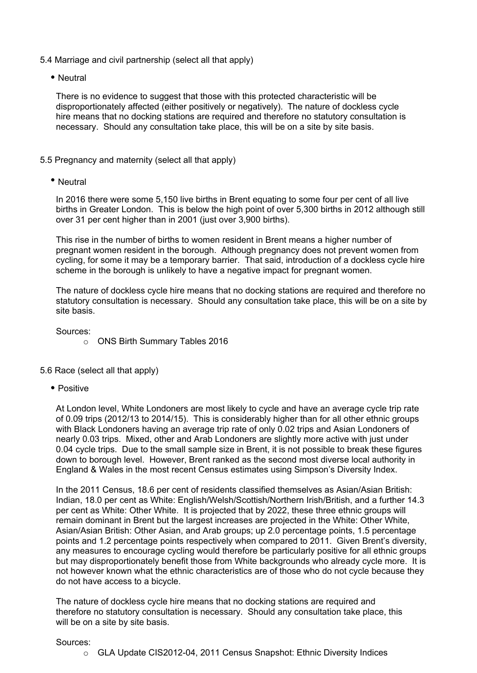- 5.4 Marriage and civil partnership (select all that apply)
	- Neutral

There is no evidence to suggest that those with this protected characteristic will be disproportionately affected (either positively or negatively). The nature of dockless cycle hire means that no docking stations are required and therefore no statutory consultation is necessary. Should any consultation take place, this will be on a site by site basis.

## 5.5 Pregnancy and maternity (select all that apply)

Neutral

In 2016 there were some 5,150 live births in Brent equating to some four per cent of all live births in Greater London. This is below the high point of over 5,300 births in 2012 although still over 31 per cent higher than in 2001 (just over 3,900 births).

This rise in the number of births to women resident in Brent means a higher number of pregnant women resident in the borough. Although pregnancy does not prevent women from cycling, for some it may be a temporary barrier. That said, introduction of a dockless cycle hire scheme in the borough is unlikely to have a negative impact for pregnant women.

The nature of dockless cycle hire means that no docking stations are required and therefore no statutory consultation is necessary. Should any consultation take place, this will be on a site by site basis.

Sources:

o ONS Birth Summary Tables 2016

### 5.6 Race (select all that apply)

• Positive

At London level, White Londoners are most likely to cycle and have an average cycle trip rate of 0.09 trips (2012/13 to 2014/15). This is considerably higher than for all other ethnic groups with Black Londoners having an average trip rate of only 0.02 trips and Asian Londoners of nearly 0.03 trips. Mixed, other and Arab Londoners are slightly more active with just under 0.04 cycle trips. Due to the small sample size in Brent, it is not possible to break these figures down to borough level. However, Brent ranked as the second most diverse local authority in England & Wales in the most recent Census estimates using Simpson's Diversity Index.

In the 2011 Census, 18.6 per cent of residents classified themselves as Asian/Asian British: Indian, 18.0 per cent as White: English/Welsh/Scottish/Northern Irish/British, and a further 14.3 per cent as White: Other White. It is projected that by 2022, these three ethnic groups will remain dominant in Brent but the largest increases are projected in the White: Other White, Asian/Asian British: Other Asian, and Arab groups; up 2.0 percentage points, 1.5 percentage points and 1.2 percentage points respectively when compared to 2011. Given Brent's diversity, any measures to encourage cycling would therefore be particularly positive for all ethnic groups but may disproportionately benefit those from White backgrounds who already cycle more. It is not however known what the ethnic characteristics are of those who do not cycle because they do not have access to a bicycle.

The nature of dockless cycle hire means that no docking stations are required and therefore no statutory consultation is necessary. Should any consultation take place, this will be on a site by site basis.

#### Sources:

o GLA Update CIS2012-04, 2011 Census Snapshot: Ethnic Diversity Indices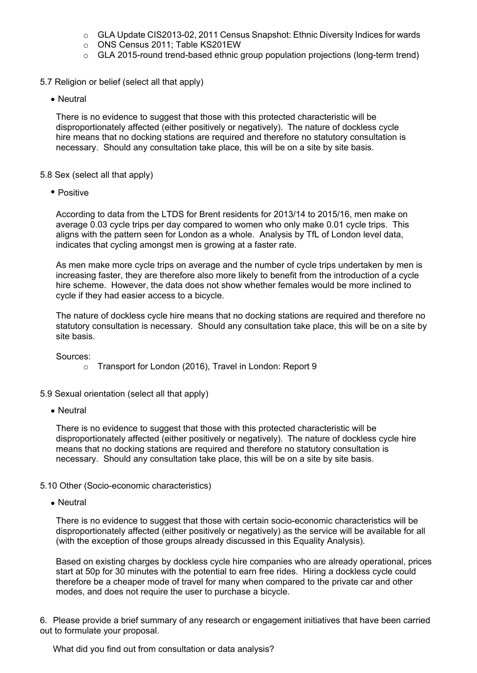- $\circ$  GLA Update CIS2013-02, 2011 Census Snapshot: Ethnic Diversity Indices for wards
- o ONS Census 2011; Table KS201EW
- o GLA 2015-round trend-based ethnic group population projections (long-term trend)
- 5.7 Religion or belief (select all that apply)
	- Neutral

There is no evidence to suggest that those with this protected characteristic will be disproportionately affected (either positively or negatively). The nature of dockless cycle hire means that no docking stations are required and therefore no statutory consultation is necessary. Should any consultation take place, this will be on a site by site basis.

#### 5.8 Sex (select all that apply)

• Positive

According to data from the LTDS for Brent residents for 2013/14 to 2015/16, men make on average 0.03 cycle trips per day compared to women who only make 0.01 cycle trips. This aligns with the pattern seen for London as a whole. Analysis by TfL of London level data, indicates that cycling amongst men is growing at a faster rate.

As men make more cycle trips on average and the number of cycle trips undertaken by men is increasing faster, they are therefore also more likely to benefit from the introduction of a cycle hire scheme. However, the data does not show whether females would be more inclined to cycle if they had easier access to a bicycle.

The nature of dockless cycle hire means that no docking stations are required and therefore no statutory consultation is necessary. Should any consultation take place, this will be on a site by site basis.

Sources:

o Transport for London (2016), Travel in London: Report 9

5.9 Sexual orientation (select all that apply)

• Neutral

There is no evidence to suggest that those with this protected characteristic will be disproportionately affected (either positively or negatively). The nature of dockless cycle hire means that no docking stations are required and therefore no statutory consultation is necessary. Should any consultation take place, this will be on a site by site basis.

- 5.10 Other (Socio-economic characteristics)
	- Neutral

There is no evidence to suggest that those with certain socio-economic characteristics will be disproportionately affected (either positively or negatively) as the service will be available for all (with the exception of those groups already discussed in this Equality Analysis).

Based on existing charges by dockless cycle hire companies who are already operational, prices start at 50p for 30 minutes with the potential to earn free rides. Hiring a dockless cycle could therefore be a cheaper mode of travel for many when compared to the private car and other modes, and does not require the user to purchase a bicycle.

6. Please provide a brief summary of any research or engagement initiatives that have been carried out to formulate your proposal.

What did you find out from consultation or data analysis?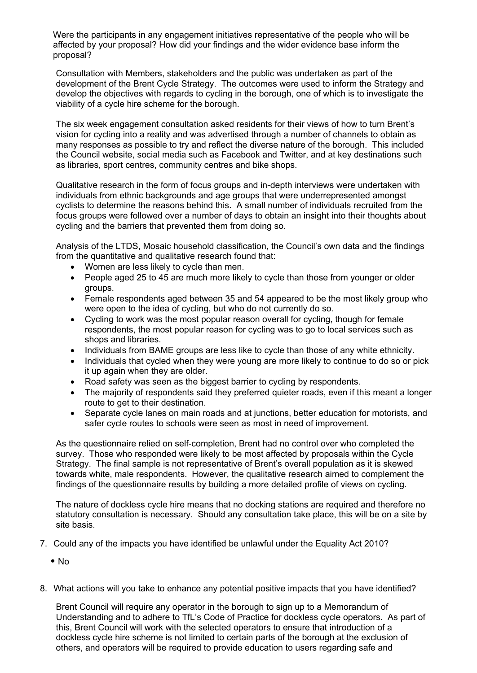Were the participants in any engagement initiatives representative of the people who will be affected by your proposal? How did your findings and the wider evidence base inform the proposal?

Consultation with Members, stakeholders and the public was undertaken as part of the development of the Brent Cycle Strategy. The outcomes were used to inform the Strategy and develop the objectives with regards to cycling in the borough, one of which is to investigate the viability of a cycle hire scheme for the borough.

The six week engagement consultation asked residents for their views of how to turn Brent's vision for cycling into a reality and was advertised through a number of channels to obtain as many responses as possible to try and reflect the diverse nature of the borough. This included the Council website, social media such as Facebook and Twitter, and at key destinations such as libraries, sport centres, community centres and bike shops.

Qualitative research in the form of focus groups and in-depth interviews were undertaken with individuals from ethnic backgrounds and age groups that were underrepresented amongst cyclists to determine the reasons behind this. A small number of individuals recruited from the focus groups were followed over a number of days to obtain an insight into their thoughts about cycling and the barriers that prevented them from doing so.

Analysis of the LTDS, Mosaic household classification, the Council's own data and the findings from the quantitative and qualitative research found that:

- Women are less likely to cycle than men.
- People aged 25 to 45 are much more likely to cycle than those from younger or older groups.
- Female respondents aged between 35 and 54 appeared to be the most likely group who were open to the idea of cycling, but who do not currently do so.
- Cycling to work was the most popular reason overall for cycling, though for female respondents, the most popular reason for cycling was to go to local services such as shops and libraries.
- Individuals from BAME groups are less like to cycle than those of any white ethnicity.
- Individuals that cycled when they were young are more likely to continue to do so or pick it up again when they are older.
- Road safety was seen as the biggest barrier to cycling by respondents.
- The majority of respondents said they preferred quieter roads, even if this meant a longer route to get to their destination.
- Separate cycle lanes on main roads and at junctions, better education for motorists, and safer cycle routes to schools were seen as most in need of improvement.

As the questionnaire relied on self-completion, Brent had no control over who completed the survey. Those who responded were likely to be most affected by proposals within the Cycle Strategy. The final sample is not representative of Brent's overall population as it is skewed towards white, male respondents. However, the qualitative research aimed to complement the findings of the questionnaire results by building a more detailed profile of views on cycling.

The nature of dockless cycle hire means that no docking stations are required and therefore no statutory consultation is necessary. Should any consultation take place, this will be on a site by site basis.

- 7. Could any of the impacts you have identified be unlawful under the Equality Act 2010?
	- $\bullet$  No
- 8. What actions will you take to enhance any potential positive impacts that you have identified?

Brent Council will require any operator in the borough to sign up to a Memorandum of Understanding and to adhere to TfL's Code of Practice for dockless cycle operators. As part of this, Brent Council will work with the selected operators to ensure that introduction of a dockless cycle hire scheme is not limited to certain parts of the borough at the exclusion of others, and operators will be required to provide education to users regarding safe and